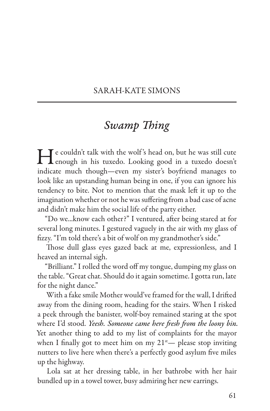## SARAH-KATE SIMONS

# *Swamp Thing*

He couldn't talk with the wolf's head on, but he was still cute<br>
enough in his tuxedo. Looking good in a tuxedo doesn't indicate much though—even my sister's boyfriend manages to look like an upstanding human being in one, if you can ignore his tendency to bite. Not to mention that the mask left it up to the imagination whether or not he was suffering from a bad case of acne and didn't make him the social life of the party either.

"Do we...know each other?" I ventured, after being stared at for several long minutes. I gestured vaguely in the air with my glass of fizzy. "I'm told there's a bit of wolf on my grandmother's side."

Those dull glass eyes gazed back at me, expressionless, and I heaved an internal sigh.

"Brilliant." I rolled the word off my tongue, dumping my glass on the table. "Great chat. Should do it again sometime. I gotta run, late for the night dance."

With a fake smile Mother would've framed for the wall, I drifted away from the dining room, heading for the stairs. When I risked a peek through the banister, wolf-boy remained staring at the spot where I'd stood. *Yeesh. Someone came here fresh from the loony bin.* Yet another thing to add to my list of complaints for the mayor when I finally got to meet him on my  $21<sup>st</sup>$  please stop inviting nutters to live here when there's a perfectly good asylum five miles up the highway.

Lola sat at her dressing table, in her bathrobe with her hair bundled up in a towel tower, busy admiring her new earrings.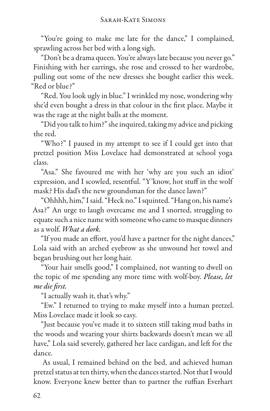"You're going to make me late for the dance," I complained, sprawling across her bed with a long sigh.

"Don't be a drama queen. You're always late because you never go." Finishing with her earrings, she rose and crossed to her wardrobe, pulling out some of the new dresses she bought earlier this week. "Red or blue?"

"Red. You look ugly in blue." I wrinkled my nose, wondering why she'd even bought a dress in that colour in the first place. Maybe it was the rage at the night balls at the moment.

"Did you talk to him?" she inquired, taking my advice and picking the red.

"Who?" I paused in my attempt to see if I could get into that pretzel position Miss Lovelace had demonstrated at school yoga class.

"Asa." She favoured me with her 'why are you such an idiot' expression, and I scowled, resentful. "Y'know, hot stuff in the wolf mask? His dad's the new groundsman for the dance lawn?"

"Ohhhh, him," I said. "Heck no." I squinted. "Hang on, his name's Asa?" An urge to laugh overcame me and I snorted, struggling to equate such a nice name with someone who came to masque dinners as a wolf. *What a dork.*

"If you made an effort, you'd have a partner for the night dances," Lola said with an arched eyebrow as she unwound her towel and began brushing out her long hair.

"Your hair smells good," I complained, not wanting to dwell on the topic of me spending any more time with wolf-boy. *Please, let me die first.*

"I actually wash it, that's why."

"Ew." I returned to trying to make myself into a human pretzel. Miss Lovelace made it look so easy.

"Just because you've made it to sixteen still taking mud baths in the woods and wearing your shirts backwards doesn't mean we all have," Lola said severely, gathered her lace cardigan, and left for the dance.

As usual, I remained behind on the bed, and achieved human pretzel status at ten thirty, when the dances started. Not that I would know. Everyone knew better than to partner the ruffian Everhart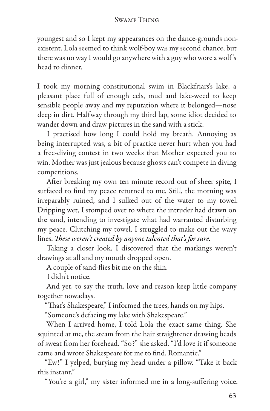youngest and so I kept my appearances on the dance-grounds nonexistent. Lola seemed to think wolf-boy was my second chance, but there was no way I would go anywhere with a guy who wore a wolf 's head to dinner.

I took my morning constitutional swim in Blackfriars's lake, a pleasant place full of enough eels, mud and lake-weed to keep sensible people away and my reputation where it belonged—nose deep in dirt. Halfway through my third lap, some idiot decided to wander down and draw pictures in the sand with a stick.

I practised how long I could hold my breath. Annoying as being interrupted was, a bit of practice never hurt when you had a free-diving contest in two weeks that Mother expected you to win. Mother was just jealous because ghosts can't compete in diving competitions.

After breaking my own ten minute record out of sheer spite, I surfaced to find my peace returned to me. Still, the morning was irreparably ruined, and I sulked out of the water to my towel. Dripping wet, I stomped over to where the intruder had drawn on the sand, intending to investigate what had warranted disturbing my peace. Clutching my towel, I struggled to make out the wavy lines. *These weren't created by anyone talented that's for sure.*

Taking a closer look, I discovered that the markings weren't drawings at all and my mouth dropped open.

A couple of sand-flies bit me on the shin.

I didn't notice.

And yet, to say the truth, love and reason keep little company together nowadays.

"That's Shakespeare," I informed the trees, hands on my hips.

"Someone's defacing my lake with Shakespeare."

When I arrived home, I told Lola the exact same thing. She squinted at me, the steam from the hair straightener drawing beads of sweat from her forehead. "So?" she asked. "I'd love it if someone came and wrote Shakespeare for me to find. Romantic."

"Ew!" I yelped, burying my head under a pillow. "Take it back this instant."

"You're a girl," my sister informed me in a long-suffering voice.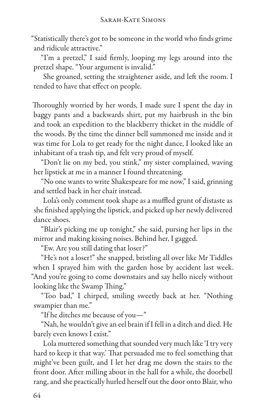"Statistically there's got to be someone in the world who finds grime and ridicule attractive."

"I'm a pretzel," I said firmly, looping my legs around into the pretzel shape. "Your argument is invalid."

She groaned, setting the straightener aside, and left the room. I tended to have that effect on people.

Thoroughly worried by her words, I made sure I spent the day in baggy pants and a backwards shirt, put my hairbrush in the bin and took an expedition to the blackberry thicket in the middle of the woods. By the time the dinner bell summoned me inside and it was time for Lola to get ready for the night dance, I looked like an inhabitant of a trash tip, and felt very proud of myself.

"Don't lie on my bed, you stink," my sister complained, waving her lipstick at me in a manner I found threatening.

"No one wants to write Shakespeare for me now," I said, grinning and settled back in her chair instead.

Lola's only comment took shape as a muffled grunt of distaste as she finished applying the lipstick, and picked up her newly delivered dance shoes.

"Blair's picking me up tonight," she said, pursing her lips in the mirror and making kissing noises. Behind her, I gagged.

"Ew. Are you still dating that loser?"

"He's not a loser!" she snapped, bristling all over like Mr Tiddles when I sprayed him with the garden hose by accident last week. "And you're going to come downstairs and say hello nicely without looking like the Swamp Thing."

"Too bad," I chirped, smiling sweetly back at her. "Nothing swampier than me."

"If he ditches me because of you—"

"Nah, he wouldn't give an eel brain if I fell in a ditch and died. He barely even knows I exist."

Lola muttered something that sounded very much like 'I try very hard to keep it that way.' That persuaded me to feel something that might've been guilt, and I let her drag me down the stairs to the front door. After milling about in the hall for a while, the doorbell rang, and she practically hurled herself out the door onto Blair, who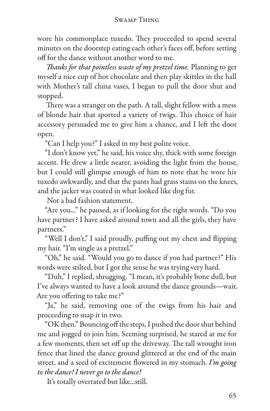#### Swamp Thing

wore his commonplace tuxedo. They proceeded to spend several minutes on the doorstep eating each other's faces off, before setting off for the dance without another word to me.

*Thanks for that pointless waste of my pretzel time.* Planning to get myself a nice cup of hot chocolate and then play skittles in the hall with Mother's tall china vases, I began to pull the door shut and stopped.

There was a stranger on the path. A tall, slight fellow with a mess of blonde hair that sported a variety of twigs. This choice of hair accessory persuaded me to give him a chance, and I left the door open.

"Can I help you?" I asked in my best polite voice.

"I don't know yet," he said, his voice shy, thick with some foreign accent. He drew a little nearer, avoiding the light from the house, but I could still glimpse enough of him to note that he wore his tuxedo awkwardly, and that the pants had grass stains on the knees, and the jacket was coated in what looked like dog fur.

Not a bad fashion statement.

"Are you..." he paused, as if looking for the right words. "Do you have partner? I have asked around town and all the girls, they have partners."

"Well I don't," I said proudly, puffing out my chest and flipping my hair. "I'm single as a pretzel."

"Oh," he said. "Would you go to dance if you had partner?" His words were stilted, but I got the sense he was trying very hard.

"Duh," I replied, shrugging. "I mean, it's probably bone dull, but I've always wanted to have a look around the dance grounds—wait. Are you offering to take me?"

"Ja," he said, removing one of the twigs from his hair and proceeding to snap it in two.

"OK then." Bouncing off the steps, I pushed the door shut behind me and jogged to join him. Seeming surprised, he stared at me for a few moments, then set off up the driveway. The tall wrought iron fence that lined the dance ground glittered at the end of the main street, and a seed of excitement flowered in my stomach. *I'm going to the dance! I never go to the dance!*

It's totally overrated but like...still.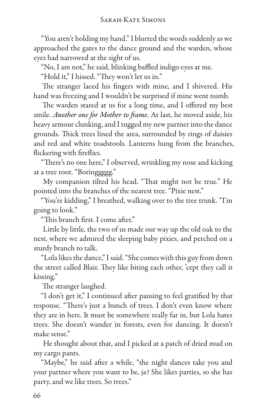"You aren't holding my hand." I blurted the words suddenly as we approached the gates to the dance ground and the warden, whose eyes had narrowed at the sight of us.

"No, I am not," he said, blinking baffled indigo eyes at me.

"Hold it," I hissed. "They won't let us in."

The stranger laced his fingers with mine, and I shivered. His hand was freezing and I wouldn't be surprised if mine went numb.

The warden stared at us for a long time, and I offered my best smile. *Another one for Mother to frame.* At last, he moved aside, his heavy armour clunking, and I tugged my new partner into the dance grounds. Thick trees lined the area, surrounded by rings of daisies and red and white toadstools. Lanterns hung from the branches, flickering with fireflies.

"There's no one here," I observed, wrinkling my nose and kicking at a tree root. "Boringgggg."

My companion tilted his head. "That might not be true." He pointed into the branches of the nearest tree. "Pixie nest."

"You're kidding," I breathed, walking over to the tree trunk. "I'm going to look."

"This branch first. I come after."

Little by little, the two of us made our way up the old oak to the nest, where we admired the sleeping baby pixies, and perched on a sturdy branch to talk.

"Lola likes the dance," I said. "She comes with this guy from down the street called Blair. They like biting each other, 'cept they call it kissing."

The stranger laughed.

"I don't get it," I continued after pausing to feel gratified by that response. "There's just a bunch of trees. I don't even know where they are in here. It must be somewhere really far in, but Lola hates trees. She doesn't wander in forests, even for dancing. It doesn't make sense."

He thought about that, and I picked at a patch of dried mud on my cargo pants.

"Maybe," he said after a while, "the night dances take you and your partner where you want to be, ja? She likes parties, so she has party, and we like trees. So trees."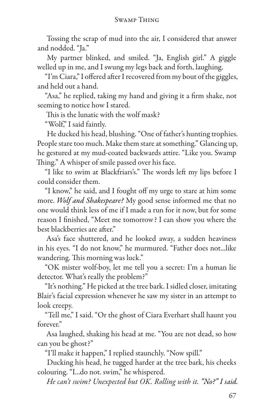Tossing the scrap of mud into the air, I considered that answer and nodded. "Ja."

My partner blinked, and smiled. "Ja, English girl." A giggle welled up in me, and I swung my legs back and forth, laughing.

"I'm Ciara," I offered after I recovered from my bout of the giggles, and held out a hand.

"Asa," he replied, taking my hand and giving it a firm shake, not seeming to notice how I stared.

This is the lunatic with the wolf mask?

"Wolf," I said faintly.

He ducked his head, blushing. "One of father's hunting trophies. People stare too much. Make them stare at something." Glancing up, he gestured at my mud-coated backwards attire. "Like you. Swamp Thing." A whisper of smile passed over his face.

"I like to swim at Blackfriars's." The words left my lips before I could consider them.

"I know," he said, and I fought off my urge to stare at him some more. *Wolf and Shakespeare?* My good sense informed me that no one would think less of me if I made a run for it now, but for some reason I finished, "Meet me tomorrow? I can show you where the best blackberries are after."

Asa's face shuttered, and he looked away, a sudden heaviness in his eyes. "I do not know," he murmured. "Father does not...like wandering. This morning was luck."

"OK mister wolf-boy, let me tell you a secret: I'm a human lie detector. What's really the problem?"

"It's nothing." He picked at the tree bark. I sidled closer, imitating Blair's facial expression whenever he saw my sister in an attempt to look creepy.

"Tell me," I said. "Or the ghost of Ciara Everhart shall haunt you forever"

Asa laughed, shaking his head at me. "You are not dead, so how can you be ghost?"

"I'll make it happen," I replied staunchly. "Now spill."

Ducking his head, he tugged harder at the tree bark, his cheeks colouring. "I...do not. swim," he whispered.

*He can't swim? Unexpected but OK. Rolling with it. "No?" I said.*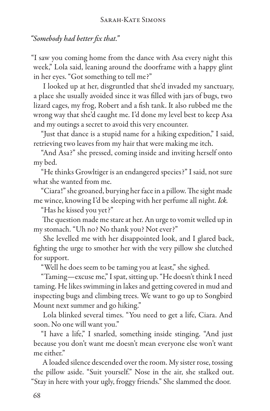## *"Somebody had better fix that."*

"I saw you coming home from the dance with Asa every night this week," Lola said, leaning around the doorframe with a happy glint in her eyes. "Got something to tell me?"

I looked up at her, disgruntled that she'd invaded my sanctuary, a place she usually avoided since it was filled with jars of bugs, two lizard cages, my frog, Robert and a fish tank. It also rubbed me the wrong way that she'd caught me. I'd done my level best to keep Asa and my outings a secret to avoid this very encounter.

"Just that dance is a stupid name for a hiking expedition," I said, retrieving two leaves from my hair that were making me itch.

"And Asa?" she pressed, coming inside and inviting herself onto my bed.

"He thinks Growltiger is an endangered species?" I said, not sure what she wanted from me.

"Ciara!" she groaned, burying her face in a pillow. The sight made me wince, knowing I'd be sleeping with her perfume all night. *Ick.*

"Has he kissed you yet?"

The question made me stare at her. An urge to vomit welled up in my stomach. "Uh no? No thank you? Not ever?"

She levelled me with her disappointed look, and I glared back, fighting the urge to smother her with the very pillow she clutched for support.

"Well he does seem to be taming you at least," she sighed.

"Taming—excuse me," I spat, sitting up. "He doesn't think I need taming. He likes swimming in lakes and getting covered in mud and inspecting bugs and climbing trees. We want to go up to Songbird Mount next summer and go hiking."

Lola blinked several times. "You need to get a life, Ciara. And soon. No one will want you."

"I have a life," I snarled, something inside stinging. "And just because you don't want me doesn't mean everyone else won't want me either."

A loaded silence descended over the room. My sister rose, tossing the pillow aside. "Suit yourself." Nose in the air, she stalked out. "Stay in here with your ugly, froggy friends." She slammed the door.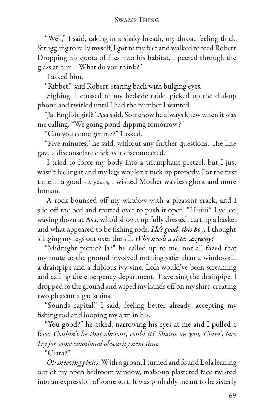#### Swamp Thing

"Well," I said, taking in a shaky breath, my throat feeling thick. Struggling to rally myself, I got to my feet and walked to feed Robert. Dropping his quota of flies into his habitat, I peered through the glass at him. "What do you think?"

I asked him.

"Ribbet," said Robert, staring back with bulging eyes.

Sighing, I crossed to my bedside table, picked up the dial-up phone and twirled until I had the number I wanted.

"Ja, English girl?" Asa said. Somehow he always knew when it was me calling. "We going pond-dipping tomorrow?"

"Can you come get me?" I asked.

"Five minutes," he said, without any further questions. The line gave a disconsolate click as it disconnected.

I tried to force my body into a triumphant pretzel, but I just wasn't feeling it and my legs wouldn't tuck up properly. For the first time in a good six years, I wished Mother was less ghost and more human.

A rock bounced off my window with a pleasant crack, and I slid off the bed and trotted over to push it open. "Hiiiiii," I yelled, waving down at Asa, who'd shown up fully dressed, carting a basket and what appeared to be fishing rods. *He's good, this boy,* I thought, slinging my legs out over the sill. *Who needs a sister anyway?*

"Midnight picnic? Ja?" he called up to me, not all fazed that my route to the ground involved nothing safer than a windowsill, a drainpipe and a dubious ivy vine. Lola would've been screaming and calling the emergency department. Traversing the drainpipe, I dropped to the ground and wiped my hands off on my shirt, creating two pleasant algae stains.

"Sounds capital," I said, feeling better already, accepting my fishing rod and looping my arm in his.

"You good?" he asked, narrowing his eyes at me and I pulled a face*. Couldn't be that obvious, could it? Shame on you, Ciara's face. Try for some emotional obscurity next time.*

"Ciara?"

*Oh sneezing pixies.* With a groan, I turned and found Lola leaning out of my open bedroom window, make-up plastered face twisted into an expression of some sort. It was probably meant to be sisterly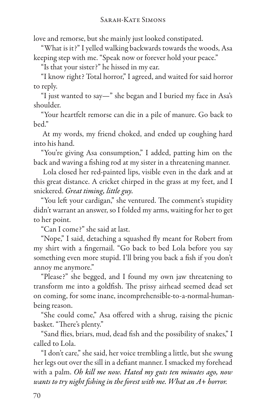love and remorse, but she mainly just looked constipated.

"What is it?" I yelled walking backwards towards the woods, Asa keeping step with me. "Speak now or forever hold your peace."

"Is that your sister?" he hissed in my ear.

"I know right? Total horror," I agreed, and waited for said horror to reply.

"I just wanted to say—" she began and I buried my face in Asa's shoulder.

"Your heartfelt remorse can die in a pile of manure. Go back to bed."

At my words, my friend choked, and ended up coughing hard into his hand.

"You're giving Asa consumption," I added, patting him on the back and waving a fishing rod at my sister in a threatening manner.

Lola closed her red-painted lips, visible even in the dark and at this great distance. A cricket chirped in the grass at my feet, and I snickered. *Great timing, little guy.*

"You left your cardigan," she ventured. The comment's stupidity didn't warrant an answer, so I folded my arms, waiting for her to get to her point.

"Can I come?" she said at last.

"Nope," I said, detaching a squashed fly meant for Robert from my shirt with a fingernail. "Go back to bed Lola before you say something even more stupid. I'll bring you back a fish if you don't annoy me anymore."

"Please?" she begged, and I found my own jaw threatening to transform me into a goldfish. The prissy airhead seemed dead set on coming, for some inane, incomprehensible-to-a-normal-humanbeing reason.

"She could come," Asa offered with a shrug, raising the picnic basket. "There's plenty."

"Sand flies, briars, mud, dead fish and the possibility of snakes," I called to Lola.

"I don't care," she said, her voice trembling a little, but she swung her legs out over the sill in a defiant manner. I smacked my forehead with a palm. *Oh kill me now. Hated my guts ten minutes ago, now wants to try night fishing in the forest with me. What an A+ horror.*